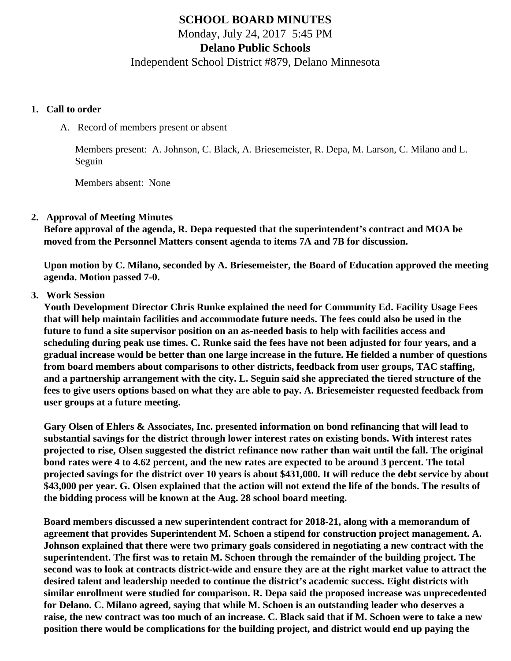# **SCHOOL BOARD MINUTES**

Monday, July 24, 2017 5:45 PM

**Delano Public Schools**

Independent School District #879, Delano Minnesota

#### **1. Call to order**

A. Record of members present or absent

Members present: A. Johnson, C. Black, A. Briesemeister, R. Depa, M. Larson, C. Milano and L. Seguin

Members absent: None

#### **2. Approval of Meeting Minutes**

**Before approval of the agenda, R. Depa requested that the superintendent's contract and MOA be moved from the Personnel Matters consent agenda to items 7A and 7B for discussion.**

**Upon motion by C. Milano, seconded by A. Briesemeister, the Board of Education approved the meeting agenda. Motion passed 7-0.**

#### **3. Work Session**

**Youth Development Director Chris Runke explained the need for Community Ed. Facility Usage Fees that will help maintain facilities and accommodate future needs. The fees could also be used in the future to fund a site supervisor position on an as-needed basis to help with facilities access and scheduling during peak use times. C. Runke said the fees have not been adjusted for four years, and a gradual increase would be better than one large increase in the future. He fielded a number of questions from board members about comparisons to other districts, feedback from user groups, TAC staffing, and a partnership arrangement with the city. L. Seguin said she appreciated the tiered structure of the fees to give users options based on what they are able to pay. A. Briesemeister requested feedback from user groups at a future meeting.**

**Gary Olsen of Ehlers & Associates, Inc. presented information on bond refinancing that will lead to substantial savings for the district through lower interest rates on existing bonds. With interest rates projected to rise, Olsen suggested the district refinance now rather than wait until the fall. The original bond rates were 4 to 4.62 percent, and the new rates are expected to be around 3 percent. The total projected savings for the district over 10 years is about \$431,000. It will reduce the debt service by about \$43,000 per year. G. Olsen explained that the action will not extend the life of the bonds. The results of the bidding process will be known at the Aug. 28 school board meeting.**

**Board members discussed a new superintendent contract for 2018-21, along with a memorandum of agreement that provides Superintendent M. Schoen a stipend for construction project management. A. Johnson explained that there were two primary goals considered in negotiating a new contract with the superintendent. The first was to retain M. Schoen through the remainder of the building project. The second was to look at contracts district-wide and ensure they are at the right market value to attract the desired talent and leadership needed to continue the district's academic success. Eight districts with similar enrollment were studied for comparison. R. Depa said the proposed increase was unprecedented for Delano. C. Milano agreed, saying that while M. Schoen is an outstanding leader who deserves a raise, the new contract was too much of an increase. C. Black said that if M. Schoen were to take a new position there would be complications for the building project, and district would end up paying the**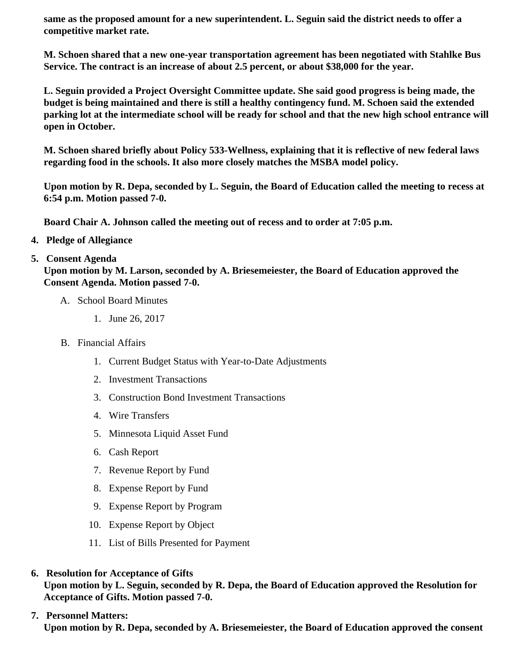same as the proposed amount for a new superintendent. L. Seguin said the district needs to offer a competitive market rate.

M. Schoen shared that a new one-year transportation agreement has been negotiated with Stahlke Bus Service. The contract is an increase of about 2.5 percent, or about \$38,000 for the year.

L. Seguin provided a Project Oversight Committee update. She said good progress is being made, the budget is being maintained and there is still a healthy contingency fund. M. Schoen said the extended parking lot at the intermediate school will be ready for school and that the new high school entrance will open in October.

M. Schoen shared briefly about Policy 533-Wellness, explaining that it is reflective of new federal laws regarding food in the schools. It also more closely matches the MSBA model policy.

Upon motion by R. Depa, seconded by L. Seguin, the Board of Education called the meeting to recess at 6:54 p.m. Motion passed 7-0.

Board Chair A. Johnson called the meeting out of recess and to order at 7:05 p.m.

4. Pledge of Allegiance

### 5. Consent Agenda

Upon motion by M. Larson, seconded by A. Briesemeiester, the Board of Education approved the Consent Agenda. Motion passed 7-0.

- A. School Board Minutes
	- 1. [June 26, 201](http://www.delano.k12.mn.us/pb/app/agenda/minutes/155)7
- B. Financial Affairs
	- 1. [Current Budget Status with Year-to-Date Adjustm](/docs/district/Business_Office/FY18_Budget_Report_July.pdf)ents
	- 2. [Investment Transactio](/docs/district/Business_Office/Investment_Schedule_June_2017.pdf)ns
	- 3. [Construction Bond Investment Transacti](/docs/district/Business_Office/Bond_Investment_schedule_June_17.pdf)ons
	- 4. [Wire Transfer](/docs/district/Business_Office/Wire_Transfer_June_2017.pdf)s
	- 5. [Minnesota Liquid Asset Fun](/docs/district/Business_Office/Liquid_Asset_Fund_June_2017.pdf)d
	- 6. [Cash Repo](/docs/district/Business_Office/Cash_Report_June_2017.pdf)rt
	- 7. [Revenue Report by Fu](/docs/district/Business_Office/SCHOOL_BOARD_REPORTS_-_REVENUE_BY_FUND_TOTAL__(Date__6_2018).pdf)nd
	- 8. [Expense Report by Fu](/docs/district/Business_Office/SCHOOL_BOARD_REPORTS_-_EXP_BY_FUND_TOTAL__(Date__6_2018).pdf)nd
	- 9. [Expense Report by Progra](/docs/district/Business_Office/SCHOOL_BOARD_REPORTS_-_EXPENDITURES_BY_PROGRAM__(Date__6_2018).pdf)m
	- 10. [Expense Report by Obje](/docs/district/Business_Office/SCHOOL_BOARD_REPORTS_-_EXPENDITURES_BY_OBJECT__(Date__6_2018).pdf)ct
	- 11. [List of Bills Presented for Payme](/docs/district/Business_Office/DETAIL_OF_MONTHLY_BILLS_PRESENTED_FOR_PAYMENT_(Dates__04_01_17_-_07_19_17).pdf)nt
- 6. [Resolution for Acceptance of Gif](/docs/district/Business_Office/Resolution_for_Acceptance_of_Gifts_7.24.17.pdf)t[s](/docs/district/Business_Office/Resolution_for_Acceptance_of_Gifts_7.24.17.pdf) Upon motion by L. Seguin, seconded by R. Depa, the Board of Education approved the Resolution for Acceptance of Gifts. Motion passed 7-0.
- 7. [Personnel Matters:](/docs/district/Business_Office/07.24.17.pdf) Upon motion by R. Depa, seconded by A. Briesemeiester, the Board of Education approved the consent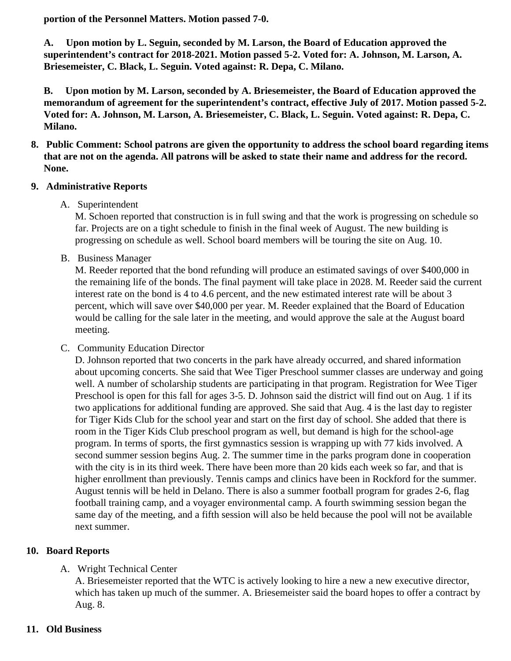portion of the Personnel Matters. Motion passed 7-0.

A. Upon motion by L. Seguin, seconded by M. Larson, the Board of Education approved the superintendent's contract for 2018-2021. Motion passed 5-2. Voted for: A. Johnson, M. Larson, A. Briesemeister, C. Black, L. Seguin. Voted against: R. Depa, C. Milano.

B. Upon motion by M. Larson, seconded by A. Briesemeister, the Board of Education approved the memorandum of agreement for the superintendent's contract, effective July of 2017. Motion passed 5-2. Voted for: A. Johnson, M. Larson, A. Briesemeister, C. Black, L. Seguin. Voted against: R. Depa, C. Milano.

- 8. Public Comment: School patrons are given the opportunity to address the school board regarding items that are not on the agenda. All patrons will be asked to state their name and address for the record. None.
- 9. Administrative Reports

## A. Superintendent

M. Schoen reported that construction is in full swing and that the work is progressing on schedule s far. Projects are on a tight schedule to finish in the final week of August. The new building is progressing on schedule as well. School board members will be touring the site on Aug. 10.

B. Business Manager

M. Reeder reported that the bond refunding will produce an estimated savings of over \$400,000 in the remaining life of the bonds. The final payment will take place in 2028. M. Reeder said the curre interest rate on the bond is 4 to 4.6 percent, and the new estimated interest rate will be about 3 percent, which will save over \$40,000 per year. M. Reeder explained that the Board of Education would be calling for the sale later in the meeting, and would approve the sale at the August board meeting.

C. Community Education Director

D. Johnson reported that two concerts in the park have already occurred, and shared information about upcoming concerts. She said that Wee Tiger Preschool summer classes are underway and going well. A number of scholarship students are participating in that program. Registration for Wee Tige Preschool is open for this fall for ages 3-5. D. Johnson said the district will find out on Aug. 1 if its two applications for additional funding are approved. She said that Aug. 4 is the last day to register for Tiger Kids Club for the school year and start on the first day of school. She added that there is room in the Tiger Kids Club preschool program as well, but demand is high for the school-age program. In terms of sports, the first gymnastics session is wrapping up with 77 kids involved. A second summer session begins Aug. 2. The summer time in the parks program done in cooperatio with the city is in its third week. There have been more than 20 kids each week so far, and that is higher enrollment than previously. Tennis camps and clinics have been in Rockford for the summe August tennis will be held in Delano. There is also a summer football program for grades 2-6, flag football training camp, and a voyager environmental camp. A fourth swimming session began the same day of the meeting, and a fifth session will also be held because the pool will not be available next summer.

10. Board Reports

## A. [Wright Technical Cente](/docs/district/Business_Office/WTC_Minutes_June_2017.pdf)r

A. Briesemeister reported that the WTC is actively looking to hire a new a new executive director, which has taken up much of the summer. A. Briesemeister said the board hopes to offer a contract Aug. 8.